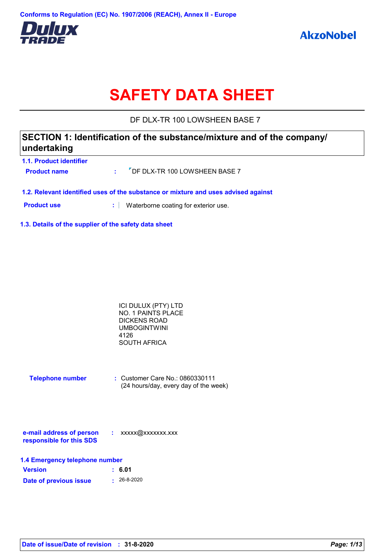

# **SAFETY DATA SHEET**

DF DLX-TR 100 LOWSHEEN BASE 7

## **SECTION 1: Identification of the substance/mixture and of the company/ undertaking**

| 1.1. Product identifier |                                              |
|-------------------------|----------------------------------------------|
| <b>Product name</b>     | : <sup>7</sup> DF DLX-TR 100 LOWSHEEN BASE 7 |
|                         |                                              |

**1.2. Relevant identified uses of the substance or mixture and uses advised against**

**Product use <b>:** Waterborne coating for exterior use.

**1.3. Details of the supplier of the safety data sheet**

| ICI DULUX (PTY) LTD       |  |
|---------------------------|--|
| <b>NO. 1 PAINTS PLACE</b> |  |
| DICKENS ROAD              |  |
| UMBOGINTWINI              |  |
| 4126                      |  |
| SOUTH AFRICA              |  |
|                           |  |

| <b>Telephone number</b> | $\therefore$ Customer Care No.: 0860330111 |
|-------------------------|--------------------------------------------|
|                         | (24 hours/day, every day of the week)      |

| e-mail address of person | xxxxx@xxxxxxx.xxx |
|--------------------------|-------------------|
| responsible for this SDS |                   |

| 1.4 Emergency telephone number |                   |  |  |
|--------------------------------|-------------------|--|--|
| <b>Version</b>                 | : 6.01            |  |  |
| Date of previous issue         | $\cdot$ 26-8-2020 |  |  |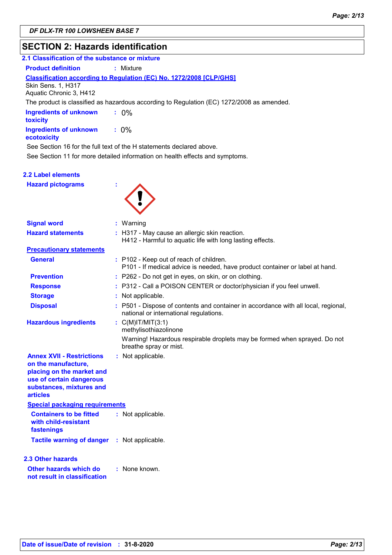## **SECTION 2: Hazards identification**

| 2.1 Classification of the substance or mixture |                                                                                                                       |
|------------------------------------------------|-----------------------------------------------------------------------------------------------------------------------|
| <b>Product definition</b>                      | : Mixture                                                                                                             |
| Skin Sens. 1, H317<br>Aquatic Chronic 3, H412  | <b>Classification according to Regulation (EC) No. 1272/2008 [CLP/GHS]</b>                                            |
|                                                | The product is classified as hazardous according to Regulation (EC) 1272/2008 as amended.                             |
| <b>Ingredients of unknown</b><br>toxicity      | $: 0\%$                                                                                                               |
| <b>Ingredients of unknown</b><br>ecotoxicity   | $: 0\%$                                                                                                               |
|                                                | See Section 16 for the full text of the H statements declared above.                                                  |
|                                                | See Section 11 for more detailed information on health effects and symptoms.                                          |
| 2.2 Label elements                             |                                                                                                                       |
|                                                |                                                                                                                       |
| <b>Hazard pictograms</b>                       |                                                                                                                       |
| <b>Signal word</b>                             | : Warning                                                                                                             |
| <b>Hazard statements</b>                       | : H317 - May cause an allergic skin reaction.<br>H412 - Harmful to aquatic life with long lasting effects.            |
| <b>Precautionary statements</b>                |                                                                                                                       |
| <b>General</b>                                 | P102 - Keep out of reach of children.<br>P101 - If medical advice is needed, have product container or label at hand. |

- P262 Do not get in eyes, on skin, or on clothing.
- **Response :** P312 - Call a POISON CENTER or doctor/physician if you feel unwell.
	- : Not applicable.
		- P501 Dispose of contents and container in accordance with all local, regional, national or international regulations.

**Hazardous ingredients :** C(M)IT/MIT(3:1)

**Prevention :**

**Storage : Disposal :**

> methylisothiazolinone cable. Warning! Hazardous respirable droplets may be formed when sprayed. Do not breathe spray or mist.

| <b>Annex XVII - Restrictions</b> | : Not applie |
|----------------------------------|--------------|
| on the manufacture.              |              |
| placing on the market and        |              |
| use of certain dangerous         |              |
| substances, mixtures and         |              |

#### **Containers to be fitted with child-resistant :** Not applicable. **Special packaging requirements articles**

**fastenings Tactile warning of danger : Not applicable.** 

## **2.3 Other hazards**

**Other hazards which do : not result in classification** : None known.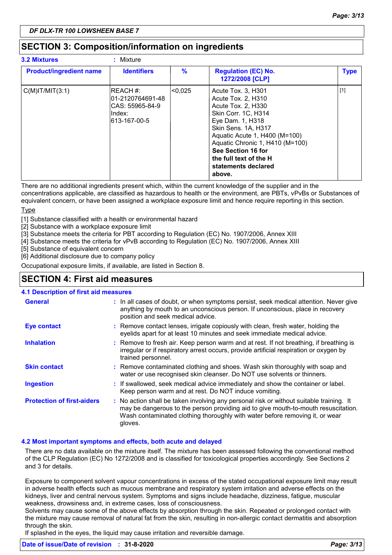## **SECTION 3: Composition/information on ingredients**

| <b>3.2 Mixtures</b>            | : Mixture                                                                    |               |                                                                                                                                                                                                                                                                                       |             |
|--------------------------------|------------------------------------------------------------------------------|---------------|---------------------------------------------------------------------------------------------------------------------------------------------------------------------------------------------------------------------------------------------------------------------------------------|-------------|
| <b>Product/ingredient name</b> | <b>Identifiers</b>                                                           | $\frac{9}{6}$ | <b>Regulation (EC) No.</b><br>1272/2008 [CLP]                                                                                                                                                                                                                                         | <b>Type</b> |
| $C(M)$ IT/MIT $(3:1)$          | IREACH #:<br>101-2120764691-48<br>ICAS: 55965-84-9<br>Index:<br>613-167-00-5 | <0.025        | Acute Tox. 3, H301<br>Acute Tox. 2, H310<br>Acute Tox. 2, H330<br>Skin Corr. 1C, H314<br>Eye Dam. 1, H318<br>Skin Sens. 1A, H317<br>Aquatic Acute 1, H400 (M=100)<br>Aquatic Chronic 1, H410 (M=100)<br>See Section 16 for<br>the full text of the H<br>statements declared<br>above. | $[1]$       |

There are no additional ingredients present which, within the current knowledge of the supplier and in the concentrations applicable, are classified as hazardous to health or the environment, are PBTs, vPvBs or Substances of equivalent concern, or have been assigned a workplace exposure limit and hence require reporting in this section. **Type** 

[1] Substance classified with a health or environmental hazard

[2] Substance with a workplace exposure limit

[3] Substance meets the criteria for PBT according to Regulation (EC) No. 1907/2006, Annex XIII

[4] Substance meets the criteria for vPvB according to Regulation (EC) No. 1907/2006, Annex XIII

[5] Substance of equivalent concern

[6] Additional disclosure due to company policy

Occupational exposure limits, if available, are listed in Section 8.

## **SECTION 4: First aid measures**

#### **4.1 Description of first aid measures**

| <b>General</b>                    | : In all cases of doubt, or when symptoms persist, seek medical attention. Never give<br>anything by mouth to an unconscious person. If unconscious, place in recovery<br>position and seek medical advice.                                                              |
|-----------------------------------|--------------------------------------------------------------------------------------------------------------------------------------------------------------------------------------------------------------------------------------------------------------------------|
| <b>Eye contact</b>                | : Remove contact lenses, irrigate copiously with clean, fresh water, holding the<br>eyelids apart for at least 10 minutes and seek immediate medical advice.                                                                                                             |
| <b>Inhalation</b>                 | : Remove to fresh air. Keep person warm and at rest. If not breathing, if breathing is<br>irregular or if respiratory arrest occurs, provide artificial respiration or oxygen by<br>trained personnel.                                                                   |
| <b>Skin contact</b>               | : Remove contaminated clothing and shoes. Wash skin thoroughly with soap and<br>water or use recognised skin cleanser. Do NOT use solvents or thinners.                                                                                                                  |
| <b>Ingestion</b>                  | : If swallowed, seek medical advice immediately and show the container or label.<br>Keep person warm and at rest. Do NOT induce vomiting.                                                                                                                                |
| <b>Protection of first-aiders</b> | : No action shall be taken involving any personal risk or without suitable training. It<br>may be dangerous to the person providing aid to give mouth-to-mouth resuscitation.<br>Wash contaminated clothing thoroughly with water before removing it, or wear<br>gloves. |

#### **4.2 Most important symptoms and effects, both acute and delayed**

There are no data available on the mixture itself. The mixture has been assessed following the conventional method of the CLP Regulation (EC) No 1272/2008 and is classified for toxicological properties accordingly. See Sections 2 and 3 for details.

Exposure to component solvent vapour concentrations in excess of the stated occupational exposure limit may result in adverse health effects such as mucous membrane and respiratory system irritation and adverse effects on the kidneys, liver and central nervous system. Symptoms and signs include headache, dizziness, fatigue, muscular weakness, drowsiness and, in extreme cases, loss of consciousness.

Solvents may cause some of the above effects by absorption through the skin. Repeated or prolonged contact with the mixture may cause removal of natural fat from the skin, resulting in non-allergic contact dermatitis and absorption through the skin.

If splashed in the eyes, the liquid may cause irritation and reversible damage.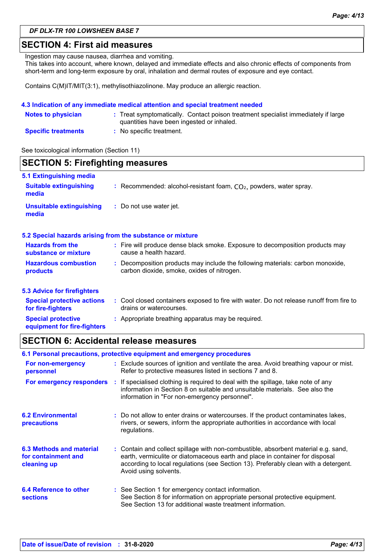### **SECTION 4: First aid measures**

Ingestion may cause nausea, diarrhea and vomiting.

This takes into account, where known, delayed and immediate effects and also chronic effects of components from short-term and long-term exposure by oral, inhalation and dermal routes of exposure and eye contact.

Contains C(M)IT/MIT(3:1), methylisothiazolinone. May produce an allergic reaction.

#### **4.3 Indication of any immediate medical attention and special treatment needed**

| <b>Notes to physician</b>  | : Treat symptomatically. Contact poison treatment specialist immediately if large<br>quantities have been ingested or inhaled. |
|----------------------------|--------------------------------------------------------------------------------------------------------------------------------|
| <b>Specific treatments</b> | : No specific treatment.                                                                                                       |

See toxicological information (Section 11)

| <b>SECTION 5: Firefighting measures</b>                  |                                                                                                                              |  |  |  |
|----------------------------------------------------------|------------------------------------------------------------------------------------------------------------------------------|--|--|--|
| 5.1 Extinguishing media                                  |                                                                                                                              |  |  |  |
| <b>Suitable extinguishing</b><br>media                   | : Recommended: alcohol-resistant foam, $CO2$ , powders, water spray.                                                         |  |  |  |
| <b>Unsuitable extinguishing</b><br>media                 | : Do not use water jet.                                                                                                      |  |  |  |
|                                                          | 5.2 Special hazards arising from the substance or mixture                                                                    |  |  |  |
| <b>Hazards from the</b><br>substance or mixture          | : Fire will produce dense black smoke. Exposure to decomposition products may<br>cause a health hazard.                      |  |  |  |
| <b>Hazardous combustion</b><br>products                  | : Decomposition products may include the following materials: carbon monoxide,<br>carbon dioxide, smoke, oxides of nitrogen. |  |  |  |
| <b>5.3 Advice for firefighters</b>                       |                                                                                                                              |  |  |  |
| <b>Special protective actions</b><br>for fire-fighters   | : Cool closed containers exposed to fire with water. Do not release runoff from fire to<br>drains or watercourses.           |  |  |  |
| <b>Special protective</b><br>equipment for fire-fighters | : Appropriate breathing apparatus may be required.                                                                           |  |  |  |

## **SECTION 6: Accidental release measures**

| 6.1 Personal precautions, protective equipment and emergency procedures |  |                                                                                                                                                                                                                                                                                    |  |
|-------------------------------------------------------------------------|--|------------------------------------------------------------------------------------------------------------------------------------------------------------------------------------------------------------------------------------------------------------------------------------|--|
| For non-emergency<br>personnel                                          |  | : Exclude sources of ignition and ventilate the area. Avoid breathing vapour or mist.<br>Refer to protective measures listed in sections 7 and 8.                                                                                                                                  |  |
| For emergency responders                                                |  | : If specialised clothing is required to deal with the spillage, take note of any<br>information in Section 8 on suitable and unsuitable materials. See also the<br>information in "For non-emergency personnel".                                                                  |  |
| <b>6.2 Environmental</b><br>precautions                                 |  | : Do not allow to enter drains or watercourses. If the product contaminates lakes,<br>rivers, or sewers, inform the appropriate authorities in accordance with local<br>regulations.                                                                                               |  |
| 6.3 Methods and material<br>for containment and<br>cleaning up          |  | : Contain and collect spillage with non-combustible, absorbent material e.g. sand,<br>earth, vermiculite or diatomaceous earth and place in container for disposal<br>according to local regulations (see Section 13). Preferably clean with a detergent.<br>Avoid using solvents. |  |
| 6.4 Reference to other<br><b>sections</b>                               |  | : See Section 1 for emergency contact information.<br>See Section 8 for information on appropriate personal protective equipment.<br>See Section 13 for additional waste treatment information.                                                                                    |  |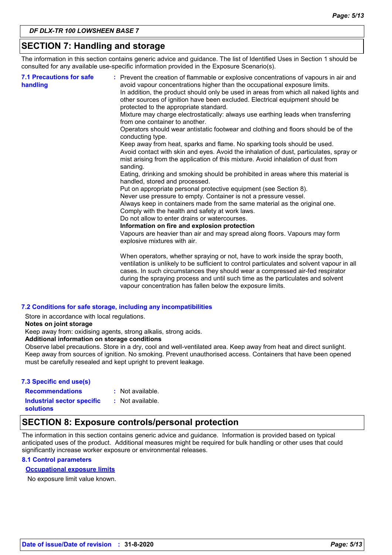## **SECTION 7: Handling and storage**

The information in this section contains generic advice and guidance. The list of Identified Uses in Section 1 should be consulted for any available use-specific information provided in the Exposure Scenario(s).

| <b>7.1 Precautions for safe</b><br>handling | : Prevent the creation of flammable or explosive concentrations of vapours in air and<br>avoid vapour concentrations higher than the occupational exposure limits.<br>In addition, the product should only be used in areas from which all naked lights and<br>other sources of ignition have been excluded. Electrical equipment should be<br>protected to the appropriate standard.<br>Mixture may charge electrostatically: always use earthing leads when transferring<br>from one container to another.<br>Operators should wear antistatic footwear and clothing and floors should be of the<br>conducting type.<br>Keep away from heat, sparks and flame. No sparking tools should be used.<br>Avoid contact with skin and eyes. Avoid the inhalation of dust, particulates, spray or<br>mist arising from the application of this mixture. Avoid inhalation of dust from<br>sanding.<br>Eating, drinking and smoking should be prohibited in areas where this material is<br>handled, stored and processed.<br>Put on appropriate personal protective equipment (see Section 8).<br>Never use pressure to empty. Container is not a pressure vessel.<br>Always keep in containers made from the same material as the original one.<br>Comply with the health and safety at work laws.<br>Do not allow to enter drains or watercourses.<br>Information on fire and explosion protection<br>Vapours are heavier than air and may spread along floors. Vapours may form<br>explosive mixtures with air. |
|---------------------------------------------|--------------------------------------------------------------------------------------------------------------------------------------------------------------------------------------------------------------------------------------------------------------------------------------------------------------------------------------------------------------------------------------------------------------------------------------------------------------------------------------------------------------------------------------------------------------------------------------------------------------------------------------------------------------------------------------------------------------------------------------------------------------------------------------------------------------------------------------------------------------------------------------------------------------------------------------------------------------------------------------------------------------------------------------------------------------------------------------------------------------------------------------------------------------------------------------------------------------------------------------------------------------------------------------------------------------------------------------------------------------------------------------------------------------------------------------------------------------------------------------------------------------|
|                                             | When operators, whether spraying or not, have to work inside the spray booth,<br>ventilation is unlikely to be sufficient to control particulates and solvent vapour in all                                                                                                                                                                                                                                                                                                                                                                                                                                                                                                                                                                                                                                                                                                                                                                                                                                                                                                                                                                                                                                                                                                                                                                                                                                                                                                                                  |

cases. In such circumstances they should wear a compressed air-fed respirator during the spraying process and until such time as the particulates and solvent vapour concentration has fallen below the exposure limits.

#### **7.2 Conditions for safe storage, including any incompatibilities**

Store in accordance with local regulations.

**Notes on joint storage**

Keep away from: oxidising agents, strong alkalis, strong acids.

#### **Additional information on storage conditions**

Observe label precautions. Store in a dry, cool and well-ventilated area. Keep away from heat and direct sunlight. Keep away from sources of ignition. No smoking. Prevent unauthorised access. Containers that have been opened must be carefully resealed and kept upright to prevent leakage.

#### **7.3 Specific end use(s)**

**Recommendations :**

: Not available.

**Industrial sector specific : solutions**

: Not available.

## **SECTION 8: Exposure controls/personal protection**

The information in this section contains generic advice and guidance. Information is provided based on typical anticipated uses of the product. Additional measures might be required for bulk handling or other uses that could significantly increase worker exposure or environmental releases.

#### **8.1 Control parameters**

#### **Occupational exposure limits**

No exposure limit value known.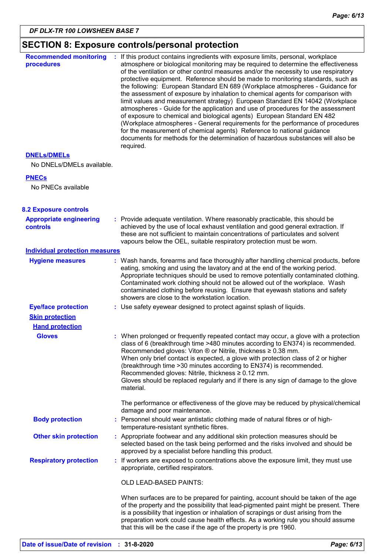## **SECTION 8: Exposure controls/personal protection**

| <b>Recommended monitoring</b><br>procedures       | : If this product contains ingredients with exposure limits, personal, workplace<br>atmosphere or biological monitoring may be required to determine the effectiveness<br>of the ventilation or other control measures and/or the necessity to use respiratory<br>protective equipment. Reference should be made to monitoring standards, such as<br>the following: European Standard EN 689 (Workplace atmospheres - Guidance for<br>the assessment of exposure by inhalation to chemical agents for comparison with<br>limit values and measurement strategy) European Standard EN 14042 (Workplace<br>atmospheres - Guide for the application and use of procedures for the assessment<br>of exposure to chemical and biological agents) European Standard EN 482<br>(Workplace atmospheres - General requirements for the performance of procedures<br>for the measurement of chemical agents) Reference to national guidance<br>documents for methods for the determination of hazardous substances will also be<br>required. |  |
|---------------------------------------------------|------------------------------------------------------------------------------------------------------------------------------------------------------------------------------------------------------------------------------------------------------------------------------------------------------------------------------------------------------------------------------------------------------------------------------------------------------------------------------------------------------------------------------------------------------------------------------------------------------------------------------------------------------------------------------------------------------------------------------------------------------------------------------------------------------------------------------------------------------------------------------------------------------------------------------------------------------------------------------------------------------------------------------------|--|
| <b>DNELS/DMELS</b>                                |                                                                                                                                                                                                                                                                                                                                                                                                                                                                                                                                                                                                                                                                                                                                                                                                                                                                                                                                                                                                                                    |  |
| No DNELs/DMELs available.                         |                                                                                                                                                                                                                                                                                                                                                                                                                                                                                                                                                                                                                                                                                                                                                                                                                                                                                                                                                                                                                                    |  |
| <b>PNECs</b>                                      |                                                                                                                                                                                                                                                                                                                                                                                                                                                                                                                                                                                                                                                                                                                                                                                                                                                                                                                                                                                                                                    |  |
| No PNECs available                                |                                                                                                                                                                                                                                                                                                                                                                                                                                                                                                                                                                                                                                                                                                                                                                                                                                                                                                                                                                                                                                    |  |
| <b>8.2 Exposure controls</b>                      |                                                                                                                                                                                                                                                                                                                                                                                                                                                                                                                                                                                                                                                                                                                                                                                                                                                                                                                                                                                                                                    |  |
| <b>Appropriate engineering</b><br><b>controls</b> | : Provide adequate ventilation. Where reasonably practicable, this should be<br>achieved by the use of local exhaust ventilation and good general extraction. If<br>these are not sufficient to maintain concentrations of particulates and solvent<br>vapours below the OEL, suitable respiratory protection must be worn.                                                                                                                                                                                                                                                                                                                                                                                                                                                                                                                                                                                                                                                                                                        |  |
| <b>Individual protection measures</b>             |                                                                                                                                                                                                                                                                                                                                                                                                                                                                                                                                                                                                                                                                                                                                                                                                                                                                                                                                                                                                                                    |  |
| <b>Hygiene measures</b>                           | : Wash hands, forearms and face thoroughly after handling chemical products, before<br>eating, smoking and using the lavatory and at the end of the working period.<br>Appropriate techniques should be used to remove potentially contaminated clothing.<br>Contaminated work clothing should not be allowed out of the workplace. Wash<br>contaminated clothing before reusing. Ensure that eyewash stations and safety<br>showers are close to the workstation location.                                                                                                                                                                                                                                                                                                                                                                                                                                                                                                                                                        |  |
| <b>Eye/face protection</b>                        | : Use safety eyewear designed to protect against splash of liquids.                                                                                                                                                                                                                                                                                                                                                                                                                                                                                                                                                                                                                                                                                                                                                                                                                                                                                                                                                                |  |
| <b>Skin protection</b>                            |                                                                                                                                                                                                                                                                                                                                                                                                                                                                                                                                                                                                                                                                                                                                                                                                                                                                                                                                                                                                                                    |  |
| <b>Hand protection</b>                            |                                                                                                                                                                                                                                                                                                                                                                                                                                                                                                                                                                                                                                                                                                                                                                                                                                                                                                                                                                                                                                    |  |
| <b>Gloves</b>                                     | : When prolonged or frequently repeated contact may occur, a glove with a protection<br>class of 6 (breakthrough time >480 minutes according to EN374) is recommended.<br>Recommended gloves: Viton $\otimes$ or Nitrile, thickness $\geq 0.38$ mm.<br>When only brief contact is expected, a glove with protection class of 2 or higher<br>(breakthrough time > 30 minutes according to EN374) is recommended.<br>Recommended gloves: Nitrile, thickness ≥ 0.12 mm.<br>Gloves should be replaced regularly and if there is any sign of damage to the glove<br>material.                                                                                                                                                                                                                                                                                                                                                                                                                                                           |  |
|                                                   | The performance or effectiveness of the glove may be reduced by physical/chemical<br>damage and poor maintenance.                                                                                                                                                                                                                                                                                                                                                                                                                                                                                                                                                                                                                                                                                                                                                                                                                                                                                                                  |  |
| <b>Body protection</b>                            | : Personnel should wear antistatic clothing made of natural fibres or of high-<br>temperature-resistant synthetic fibres.                                                                                                                                                                                                                                                                                                                                                                                                                                                                                                                                                                                                                                                                                                                                                                                                                                                                                                          |  |
| <b>Other skin protection</b>                      | : Appropriate footwear and any additional skin protection measures should be<br>selected based on the task being performed and the risks involved and should be<br>approved by a specialist before handling this product.                                                                                                                                                                                                                                                                                                                                                                                                                                                                                                                                                                                                                                                                                                                                                                                                          |  |
| <b>Respiratory protection</b>                     | : If workers are exposed to concentrations above the exposure limit, they must use<br>appropriate, certified respirators.                                                                                                                                                                                                                                                                                                                                                                                                                                                                                                                                                                                                                                                                                                                                                                                                                                                                                                          |  |
|                                                   | OLD LEAD-BASED PAINTS:                                                                                                                                                                                                                                                                                                                                                                                                                                                                                                                                                                                                                                                                                                                                                                                                                                                                                                                                                                                                             |  |
|                                                   | When surfaces are to be prepared for painting, account should be taken of the age<br>of the property and the possibility that lead-pigmented paint might be present. There<br>is a possibility that ingestion or inhalation of scrapings or dust arising from the<br>preparation work could cause health effects. As a working rule you should assume<br>that this will be the case if the age of the property is pre 1960.                                                                                                                                                                                                                                                                                                                                                                                                                                                                                                                                                                                                        |  |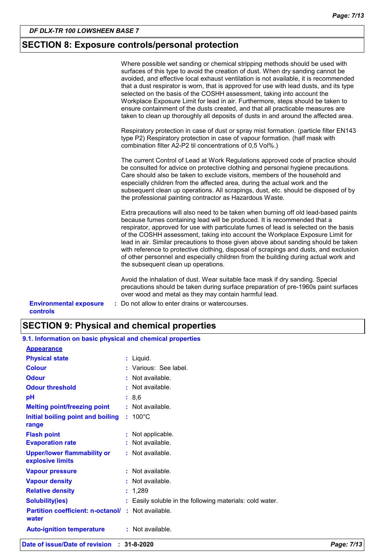## **SECTION 8: Exposure controls/personal protection**

|                                                  | Where possible wet sanding or chemical stripping methods should be used with<br>surfaces of this type to avoid the creation of dust. When dry sanding cannot be<br>avoided, and effective local exhaust ventilation is not available, it is recommended<br>that a dust respirator is worn, that is approved for use with lead dusts, and its type<br>selected on the basis of the COSHH assessment, taking into account the<br>Workplace Exposure Limit for lead in air. Furthermore, steps should be taken to<br>ensure containment of the dusts created, and that all practicable measures are<br>taken to clean up thoroughly all deposits of dusts in and around the affected area. |
|--------------------------------------------------|-----------------------------------------------------------------------------------------------------------------------------------------------------------------------------------------------------------------------------------------------------------------------------------------------------------------------------------------------------------------------------------------------------------------------------------------------------------------------------------------------------------------------------------------------------------------------------------------------------------------------------------------------------------------------------------------|
|                                                  | Respiratory protection in case of dust or spray mist formation. (particle filter EN143<br>type P2) Respiratory protection in case of vapour formation. (half mask with<br>combination filter A2-P2 til concentrations of 0,5 Vol%.)                                                                                                                                                                                                                                                                                                                                                                                                                                                     |
|                                                  | The current Control of Lead at Work Regulations approved code of practice should<br>be consulted for advice on protective clothing and personal hygiene precautions.<br>Care should also be taken to exclude visitors, members of the household and<br>especially children from the affected area, during the actual work and the<br>subsequent clean up operations. All scrapings, dust, etc. should be disposed of by<br>the professional painting contractor as Hazardous Waste.                                                                                                                                                                                                     |
|                                                  | Extra precautions will also need to be taken when burning off old lead-based paints<br>because fumes containing lead will be produced. It is recommended that a<br>respirator, approved for use with particulate fumes of lead is selected on the basis<br>of the COSHH assessment, taking into account the Workplace Exposure Limit for<br>lead in air. Similar precautions to those given above about sanding should be taken<br>with reference to protective clothing, disposal of scrapings and dusts, and exclusion<br>of other personnel and especially children from the building during actual work and<br>the subsequent clean up operations.                                  |
|                                                  | Avoid the inhalation of dust. Wear suitable face mask if dry sanding. Special<br>precautions should be taken during surface preparation of pre-1960s paint surfaces<br>over wood and metal as they may contain harmful lead.                                                                                                                                                                                                                                                                                                                                                                                                                                                            |
| <b>Environmental exposure</b><br><b>controls</b> | : Do not allow to enter drains or watercourses.                                                                                                                                                                                                                                                                                                                                                                                                                                                                                                                                                                                                                                         |

| <b>SECTION 9: Physical and chemical properties</b> |  |
|----------------------------------------------------|--|
|----------------------------------------------------|--|

| 9.1. Information on basic physical and chemical properties        |  |                                                          |
|-------------------------------------------------------------------|--|----------------------------------------------------------|
| <b>Appearance</b>                                                 |  |                                                          |
| <b>Physical state</b>                                             |  | : Liquid.                                                |
| <b>Colour</b>                                                     |  | : Various: See label.                                    |
| <b>Odour</b>                                                      |  | : Not available.                                         |
| <b>Odour threshold</b>                                            |  | $:$ Not available.                                       |
| рH                                                                |  | : 8,6                                                    |
| <b>Melting point/freezing point</b>                               |  | $:$ Not available.                                       |
| Initial boiling point and boiling<br>range                        |  | $: 100^{\circ}$ C                                        |
| <b>Flash point</b>                                                |  | : Not applicable.                                        |
| <b>Evaporation rate</b>                                           |  | : Not available.                                         |
| <b>Upper/lower flammability or</b><br>explosive limits            |  | : Not available.                                         |
| <b>Vapour pressure</b>                                            |  | $:$ Not available.                                       |
| <b>Vapour density</b>                                             |  | $:$ Not available.                                       |
| <b>Relative density</b>                                           |  | : 1,289                                                  |
| <b>Solubility(ies)</b>                                            |  | : Easily soluble in the following materials: cold water. |
| <b>Partition coefficient: n-octanol/: Not available.</b><br>water |  |                                                          |
| <b>Auto-ignition temperature</b>                                  |  | $:$ Not available.                                       |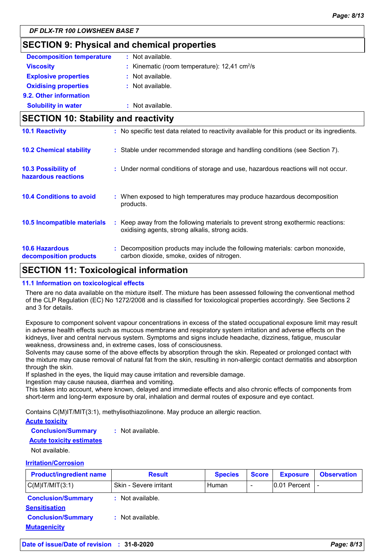## **SECTION 9: Physical and chemical properties**

| <b>Decomposition temperature</b> | : Not available.                                           |
|----------------------------------|------------------------------------------------------------|
| <b>Viscosity</b>                 | : Kinematic (room temperature): $12,41$ cm <sup>2</sup> /s |
| <b>Explosive properties</b>      | : Not available.                                           |
| <b>Oxidising properties</b>      | $:$ Not available.                                         |
| 9.2. Other information           |                                                            |
| <b>Solubility in water</b>       | : Not available.                                           |

| <b>SECTION 10: Stability and reactivity</b>       |                                                                                                                                     |  |  |
|---------------------------------------------------|-------------------------------------------------------------------------------------------------------------------------------------|--|--|
| <b>10.1 Reactivity</b>                            | : No specific test data related to reactivity available for this product or its ingredients.                                        |  |  |
| <b>10.2 Chemical stability</b>                    | : Stable under recommended storage and handling conditions (see Section 7).                                                         |  |  |
| <b>10.3 Possibility of</b><br>hazardous reactions | : Under normal conditions of storage and use, hazardous reactions will not occur.                                                   |  |  |
| <b>10.4 Conditions to avoid</b>                   | : When exposed to high temperatures may produce hazardous decomposition<br>products.                                                |  |  |
| 10.5 Incompatible materials                       | : Keep away from the following materials to prevent strong exothermic reactions:<br>oxidising agents, strong alkalis, strong acids. |  |  |
| <b>10.6 Hazardous</b><br>decomposition products   | : Decomposition products may include the following materials: carbon monoxide,<br>carbon dioxide, smoke, oxides of nitrogen.        |  |  |

## **SECTION 11: Toxicological information**

#### **11.1 Information on toxicological effects**

There are no data available on the mixture itself. The mixture has been assessed following the conventional method of the CLP Regulation (EC) No 1272/2008 and is classified for toxicological properties accordingly. See Sections 2 and 3 for details.

Exposure to component solvent vapour concentrations in excess of the stated occupational exposure limit may result in adverse health effects such as mucous membrane and respiratory system irritation and adverse effects on the kidneys, liver and central nervous system. Symptoms and signs include headache, dizziness, fatigue, muscular weakness, drowsiness and, in extreme cases, loss of consciousness.

Solvents may cause some of the above effects by absorption through the skin. Repeated or prolonged contact with the mixture may cause removal of natural fat from the skin, resulting in non-allergic contact dermatitis and absorption through the skin.

If splashed in the eyes, the liquid may cause irritation and reversible damage.

Ingestion may cause nausea, diarrhea and vomiting.

This takes into account, where known, delayed and immediate effects and also chronic effects of components from short-term and long-term exposure by oral, inhalation and dermal routes of exposure and eye contact.

Contains C(M)IT/MIT(3:1), methylisothiazolinone. May produce an allergic reaction.

#### **Acute toxicity**

**Conclusion/Summary :** Not available.

#### **Acute toxicity estimates**

Not available.

#### **Irritation/Corrosion**

| <b>Product/ingredient name</b>                    | <b>Result</b>          | <b>Species</b> | <b>Score</b>             | <b>Exposure</b> | <b>Observation</b> |
|---------------------------------------------------|------------------------|----------------|--------------------------|-----------------|--------------------|
| $C(M)$ IT/MIT $(3:1)$                             | Skin - Severe irritant | Human          | $\overline{\phantom{0}}$ | $ 0.01$ Percent |                    |
| <b>Conclusion/Summary</b><br><b>Sensitisation</b> | : Not available.       |                |                          |                 |                    |
| <b>Conclusion/Summary</b>                         | : Not available.       |                |                          |                 |                    |
| <b>Mutagenicity</b>                               |                        |                |                          |                 |                    |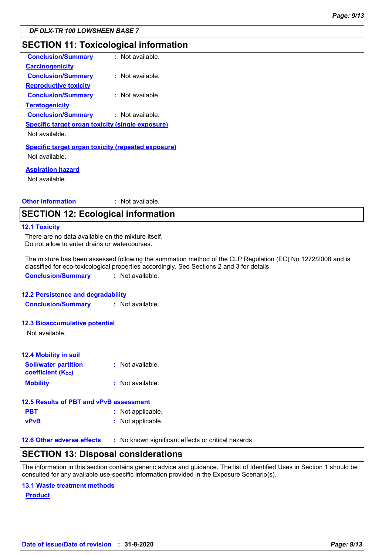## **SECTION 11: Toxicological information**

| <b>Conclusion/Summary</b>                                                   | : Not available. |
|-----------------------------------------------------------------------------|------------------|
| <b>Carcinogenicity</b>                                                      |                  |
| <b>Conclusion/Summary</b>                                                   | : Not available. |
| <b>Reproductive toxicity</b>                                                |                  |
| <b>Conclusion/Summary</b>                                                   | : Not available. |
| <b>Teratogenicity</b>                                                       |                  |
| <b>Conclusion/Summary</b>                                                   | : Not available. |
| <b>Specific target organ toxicity (single exposure)</b>                     |                  |
| Not available.                                                              |                  |
| <b>Specific target organ toxicity (repeated exposure)</b><br>Not available. |                  |
| <b>Aspiration hazard</b><br>Not available.                                  |                  |

#### **Other information :** : Not available.

## **SECTION 12: Ecological information**

#### **12.1 Toxicity**

There are no data available on the mixture itself. Do not allow to enter drains or watercourses.

The mixture has been assessed following the summation method of the CLP Regulation (EC) No 1272/2008 and is classified for eco-toxicological properties accordingly. See Sections 2 and 3 for details.

**Conclusion/Summary :** Not available.

#### **12.2 Persistence and degradability**

**Conclusion/Summary :** Not available.

#### **12.3 Bioaccumulative potential**

Not available.

| <b>12.4 Mobility in soil</b>                            |                  |  |
|---------------------------------------------------------|------------------|--|
| <b>Soil/water partition</b><br><b>coefficient (Koc)</b> | : Not available. |  |
| <b>Mobility</b>                                         | : Not available. |  |

#### **12.5 Results of PBT and vPvB assessment**

| : Not applicable. |
|-------------------|
|                   |

#### **vPvB :** Not applicable.

**12.6 Other adverse effects** : No known significant effects or critical hazards.

#### **SECTION 13: Disposal considerations**

The information in this section contains generic advice and guidance. The list of Identified Uses in Section 1 should be consulted for any available use-specific information provided in the Exposure Scenario(s).

#### **13.1 Waste treatment methods**

**Product**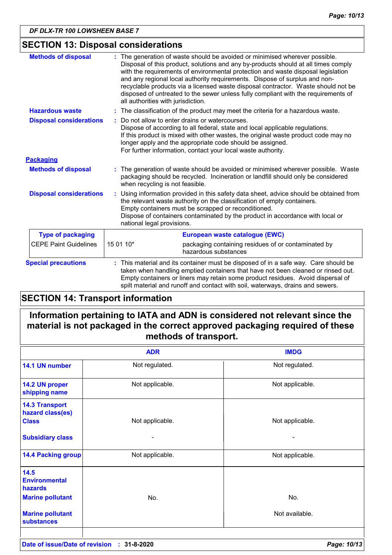## **SECTION 13: Disposal considerations**

| <b>Methods of disposal</b>     | : The generation of waste should be avoided or minimised wherever possible.<br>Disposal of this product, solutions and any by-products should at all times comply<br>with the requirements of environmental protection and waste disposal legislation<br>and any regional local authority requirements. Dispose of surplus and non-<br>recyclable products via a licensed waste disposal contractor. Waste should not be<br>disposed of untreated to the sewer unless fully compliant with the requirements of<br>all authorities with jurisdiction. |  |  |
|--------------------------------|------------------------------------------------------------------------------------------------------------------------------------------------------------------------------------------------------------------------------------------------------------------------------------------------------------------------------------------------------------------------------------------------------------------------------------------------------------------------------------------------------------------------------------------------------|--|--|
| <b>Hazardous waste</b>         | : The classification of the product may meet the criteria for a hazardous waste.                                                                                                                                                                                                                                                                                                                                                                                                                                                                     |  |  |
| <b>Disposal considerations</b> | Do not allow to enter drains or watercourses.<br>Dispose of according to all federal, state and local applicable regulations.<br>If this product is mixed with other wastes, the original waste product code may no<br>longer apply and the appropriate code should be assigned.<br>For further information, contact your local waste authority.                                                                                                                                                                                                     |  |  |
| <b>Packaging</b>               |                                                                                                                                                                                                                                                                                                                                                                                                                                                                                                                                                      |  |  |
| <b>Methods of disposal</b>     | : The generation of waste should be avoided or minimised wherever possible. Waste<br>packaging should be recycled. Incineration or landfill should only be considered<br>when recycling is not feasible.                                                                                                                                                                                                                                                                                                                                             |  |  |
| <b>Disposal considerations</b> | Using information provided in this safety data sheet, advice should be obtained from<br>the relevant waste authority on the classification of empty containers.<br>Empty containers must be scrapped or reconditioned.<br>Dispose of containers contaminated by the product in accordance with local or<br>national legal provisions.                                                                                                                                                                                                                |  |  |
| <b>Type of packaging</b>       | European waste catalogue (EWC)                                                                                                                                                                                                                                                                                                                                                                                                                                                                                                                       |  |  |
| <b>CEPE Paint Guidelines</b>   | 15 01 10*<br>packaging containing residues of or contaminated by<br>hazardous substances                                                                                                                                                                                                                                                                                                                                                                                                                                                             |  |  |
| <b>Special precautions</b>     | : This material and its container must be disposed of in a safe way. Care should be<br>taken when handling emptied containers that have not been cleaned or rinsed out.<br>Empty containers or liners may retain some product residues. Avoid dispersal of<br>spilt material and runoff and contact with soil, waterways, drains and sewers.                                                                                                                                                                                                         |  |  |

## **SECTION 14: Transport information**

## **Information pertaining to IATA and ADN is considered not relevant since the material is not packaged in the correct approved packaging required of these methods of transport.**

|                                                                    | <b>ADR</b>      | <b>IMDG</b>     |
|--------------------------------------------------------------------|-----------------|-----------------|
| 14.1 UN number                                                     | Not regulated.  | Not regulated.  |
| 14.2 UN proper<br>shipping name                                    | Not applicable. | Not applicable. |
| <b>14.3 Transport</b><br>hazard class(es)<br><b>Class</b>          | Not applicable. | Not applicable. |
| <b>Subsidiary class</b>                                            |                 |                 |
| <b>14.4 Packing group</b>                                          | Not applicable. | Not applicable. |
| 14.5<br><b>Environmental</b><br>hazards<br><b>Marine pollutant</b> | No.             | No.             |
| <b>Marine pollutant</b><br><b>substances</b>                       |                 | Not available.  |
|                                                                    |                 |                 |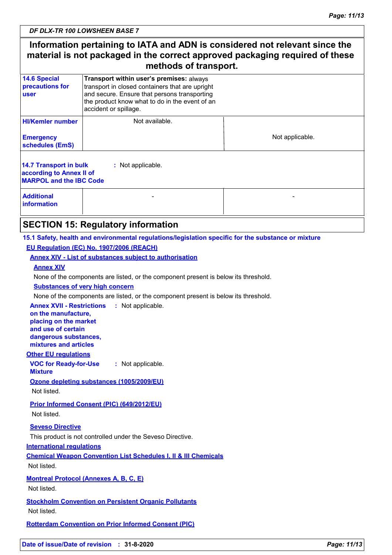## **Information pertaining to IATA and ADN is considered not relevant since the material is not packaged in the correct approved packaging required of these methods of transport.**

| <b>14.6 Special</b><br>Transport within user's premises: always<br>precautions for<br>transport in closed containers that are upright<br>and secure. Ensure that persons transporting<br>user<br>the product know what to do in the event of an<br>accident or spillage.<br><b>HI/Kemler number</b><br>Not available.<br>Not applicable.<br><b>Emergency</b><br>schedules (EmS)<br><b>14.7 Transport in bulk</b><br>: Not applicable.<br>according to Annex II of<br><b>MARPOL and the IBC Code</b><br><b>Additional</b><br><b>information</b> |  |  |  |  |  |
|------------------------------------------------------------------------------------------------------------------------------------------------------------------------------------------------------------------------------------------------------------------------------------------------------------------------------------------------------------------------------------------------------------------------------------------------------------------------------------------------------------------------------------------------|--|--|--|--|--|
|                                                                                                                                                                                                                                                                                                                                                                                                                                                                                                                                                |  |  |  |  |  |
|                                                                                                                                                                                                                                                                                                                                                                                                                                                                                                                                                |  |  |  |  |  |
|                                                                                                                                                                                                                                                                                                                                                                                                                                                                                                                                                |  |  |  |  |  |
|                                                                                                                                                                                                                                                                                                                                                                                                                                                                                                                                                |  |  |  |  |  |
|                                                                                                                                                                                                                                                                                                                                                                                                                                                                                                                                                |  |  |  |  |  |

## **SECTION 15: Regulatory information**

### **15.1 Safety, health and environmental regulations/legislation specific for the substance or mixture EU Regulation (EC) No. 1907/2006 (REACH)**

#### **Annex XIV - List of substances subject to authorisation**

#### **Annex XIV**

None of the components are listed, or the component present is below its threshold.

#### **Substances of very high concern**

None of the components are listed, or the component present is below its threshold.

**Annex XVII - Restrictions :** Not applicable.

**on the manufacture, placing on the market and use of certain dangerous substances, mixtures and articles**

#### **Other EU regulations**

**VOC for Ready-for-Use Mixture :** Not applicable.

#### **Ozone depleting substances (1005/2009/EU)**

Not listed.

**Prior Informed Consent (PIC) (649/2012/EU)** Not listed.

## **Seveso Directive**

This product is not controlled under the Seveso Directive.

#### **International regulations**

**Chemical Weapon Convention List Schedules I, II & III Chemicals** Not listed.

**Montreal Protocol (Annexes A, B, C, E)** Not listed.

**Stockholm Convention on Persistent Organic Pollutants** Not listed.

**Rotterdam Convention on Prior Informed Consent (PIC)**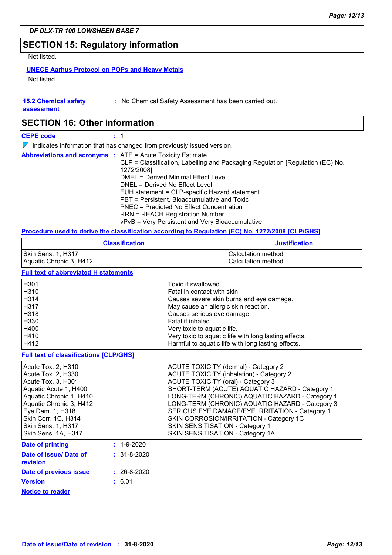## **SECTION 15: Regulatory information**

Not listed.

## **UNECE Aarhus Protocol on POPs and Heavy Metals**

Not listed.

## **15.2 Chemical safety**

**:** No Chemical Safety Assessment has been carried out.

**assessment**

## **SECTION 16: Other information**

**CEPE code :** 1

 $\nabla$  Indicates information that has changed from previously issued version.

|  | <b>Abbreviations and acronyms : ATE = Acute Toxicity Estimate</b><br>CLP = Classification, Labelling and Packaging Regulation [Regulation (EC) No.<br>1272/2008]<br>DMEL = Derived Minimal Effect Level<br>DNEL = Derived No Effect Level<br>EUH statement = CLP-specific Hazard statement<br>PBT = Persistent, Bioaccumulative and Toxic<br><b>PNEC</b> = Predicted No Effect Concentration |
|--|----------------------------------------------------------------------------------------------------------------------------------------------------------------------------------------------------------------------------------------------------------------------------------------------------------------------------------------------------------------------------------------------|
|  | <b>RRN = REACH Registration Number</b><br>vPvB = Very Persistent and Very Bioaccumulative                                                                                                                                                                                                                                                                                                    |

#### **Procedure used to derive the classification according to Regulation (EC) No. 1272/2008 [CLP/GHS]**

| <b>Classification</b>   | Justification      |
|-------------------------|--------------------|
| Skin Sens. 1, H317      | Calculation method |
| Aquatic Chronic 3, H412 | Calculation method |

#### **Full text of abbreviated H statements**

| H301 | Toxic if swallowed.                                   |
|------|-------------------------------------------------------|
| H310 | Fatal in contact with skin.                           |
| H314 | Causes severe skin burns and eye damage.              |
| H317 | May cause an allergic skin reaction.                  |
| H318 | Causes serious eye damage.                            |
| H330 | Fatal if inhaled.                                     |
| H400 | Very toxic to aquatic life.                           |
| H410 | Very toxic to aquatic life with long lasting effects. |
| H412 | Harmful to aquatic life with long lasting effects.    |
|      |                                                       |

#### **Full text of classifications [CLP/GHS]**

| Acute Tox. 2, H310                           | ACUTE TOXICITY (dermal) - Category 2            |
|----------------------------------------------|-------------------------------------------------|
| Acute Tox. 2, H330                           | <b>ACUTE TOXICITY (inhalation) - Category 2</b> |
| Acute Tox. 3, H301                           | ACUTE TOXICITY (oral) - Category 3              |
| Aquatic Acute 1, H400                        | SHORT-TERM (ACUTE) AQUATIC HAZARD - Category 1  |
| Aquatic Chronic 1, H410                      | LONG-TERM (CHRONIC) AQUATIC HAZARD - Category 1 |
| Aquatic Chronic 3, H412                      | LONG-TERM (CHRONIC) AQUATIC HAZARD - Category 3 |
| Eye Dam. 1, H318                             | SERIOUS EYE DAMAGE/EYE IRRITATION - Category 1  |
| Skin Corr. 1C, H314                          | SKIN CORROSION/IRRITATION - Category 1C         |
| Skin Sens. 1, H317                           | SKIN SENSITISATION - Category 1                 |
| Skin Sens. 1A, H317                          | SKIN SENSITISATION - Category 1A                |
| Dato of printing<br>$\cdot$ 1.0.2020 $\cdot$ |                                                 |

| <b>Date of printing</b>            | $: 1 - 9 - 2020$  |
|------------------------------------|-------------------|
| Date of issue/ Date of<br>revision | $: 31 - 8 - 2020$ |
| Date of previous issue             | $: 26 - 8 - 2020$ |
| <b>Version</b>                     | : 6.01            |
| <b>Notice to reader</b>            |                   |